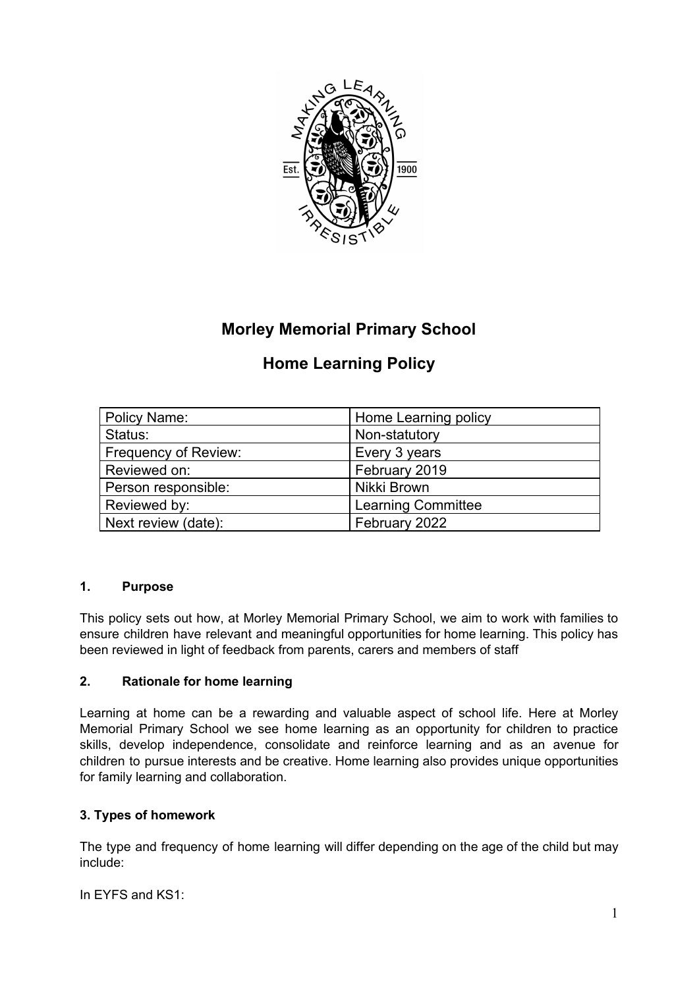

## **Morley Memorial Primary School**

# **Home Learning Policy**

| Policy Name:                | Home Learning policy      |
|-----------------------------|---------------------------|
| Status:                     | Non-statutory             |
| <b>Frequency of Review:</b> | Every 3 years             |
| Reviewed on:                | February 2019             |
| Person responsible:         | Nikki Brown               |
| Reviewed by:                | <b>Learning Committee</b> |
| Next review (date):         | February 2022             |

## **1. Purpose**

This policy sets out how, at Morley Memorial Primary School, we aim to work with families to ensure children have relevant and meaningful opportunities for home learning. This policy has been reviewed in light of feedback from parents, carers and members of staff

## **2. Rationale for home learning**

Learning at home can be a rewarding and valuable aspect of school life. Here at Morley Memorial Primary School we see home learning as an opportunity for children to practice skills, develop independence, consolidate and reinforce learning and as an avenue for children to pursue interests and be creative. Home learning also provides unique opportunities for family learning and collaboration.

## **3. Types of homework**

The type and frequency of home learning will differ depending on the age of the child but may include:

In EYFS and KS1: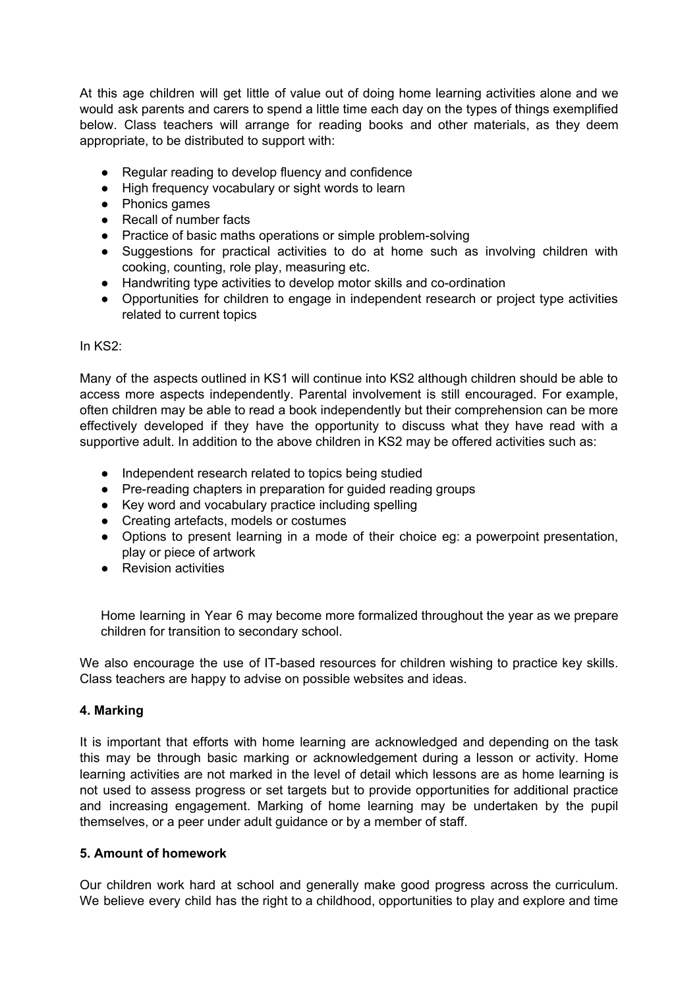At this age children will get little of value out of doing home learning activities alone and we would ask parents and carers to spend a little time each day on the types of things exemplified below. Class teachers will arrange for reading books and other materials, as they deem appropriate, to be distributed to support with:

- Regular reading to develop fluency and confidence
- High frequency vocabulary or sight words to learn
- Phonics games
- Recall of number facts
- Practice of basic maths operations or simple problem-solving
- Suggestions for practical activities to do at home such as involving children with cooking, counting, role play, measuring etc.
- Handwriting type activities to develop motor skills and co-ordination
- Opportunities for children to engage in independent research or project type activities related to current topics

#### In KS2:

Many of the aspects outlined in KS1 will continue into KS2 although children should be able to access more aspects independently. Parental involvement is still encouraged. For example, often children may be able to read a book independently but their comprehension can be more effectively developed if they have the opportunity to discuss what they have read with a supportive adult. In addition to the above children in KS2 may be offered activities such as:

- Independent research related to topics being studied
- Pre-reading chapters in preparation for guided reading groups
- Key word and vocabulary practice including spelling
- Creating artefacts, models or costumes
- Options to present learning in a mode of their choice eg: a powerpoint presentation, play or piece of artwork
- Revision activities

Home learning in Year 6 may become more formalized throughout the year as we prepare children for transition to secondary school.

We also encourage the use of IT-based resources for children wishing to practice key skills. Class teachers are happy to advise on possible websites and ideas.

#### **4. Marking**

It is important that efforts with home learning are acknowledged and depending on the task this may be through basic marking or acknowledgement during a lesson or activity. Home learning activities are not marked in the level of detail which lessons are as home learning is not used to assess progress or set targets but to provide opportunities for additional practice and increasing engagement. Marking of home learning may be undertaken by the pupil themselves, or a peer under adult guidance or by a member of staff.

#### **5. Amount of homework**

Our children work hard at school and generally make good progress across the curriculum. We believe every child has the right to a childhood, opportunities to play and explore and time